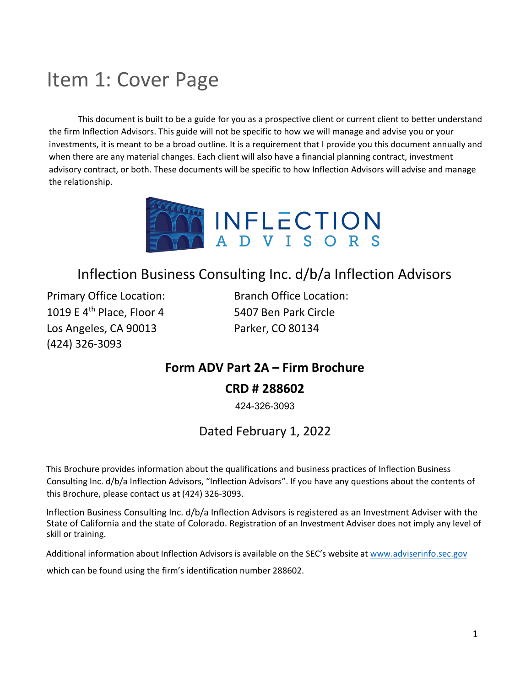### <span id="page-0-0"></span>Item 1: Cover Page

This document is built to be a guide for you as a prospective client or current client to better understand the firm Inflection Advisors. This guide will not be specific to how we will manage and advise you or your investments, it is meant to be a broad outline. It is a requirement that I provide you this document annually and when there are any material changes. Each client will also have a financial planning contract, investment advisory contract, or both. These documents will be specific to how Inflection Advisors will advise and manage the relationship.



### Inflection Business Consulting Inc. d/b/a Inflection Advisors

Primary Office Location: Branch Office Location: 1019 E 4th Place, Floor 4 5407 Ben Park Circle Los Angeles, CA 90013 Parker, CO 80134 (424) 326-3093

### **Form ADV Part 2A – Firm Brochure CRD # 288602**

424-326-3093

### Dated February 1, 2022

This Brochure provides information about the qualifications and business practices of Inflection Business Consulting Inc. d/b/a Inflection Advisors, "Inflection Advisors". If you have any questions about the contents of this Brochure, please contact us at (424) 326-3093.

Inflection Business Consulting Inc. d/b/a Inflection Advisors is registered as an Investment Adviser with the State of California and the state of Colorado. Registration of an Investment Adviser does not imply any level of skill or training.

Additional information about Inflection Advisors is available on the SEC's website at [www.adviserinfo.sec.gov](http://www.adviserinfo.sec.gov/)

which can be found using the firm's identification number 288602.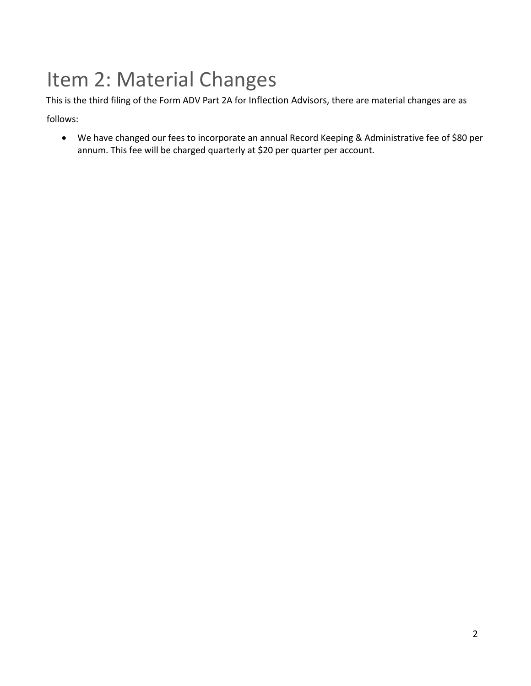## <span id="page-1-0"></span>Item 2: Material Changes

This is the third filing of the Form ADV Part 2A for Inflection Advisors, there are material changes are as

follows:

• We have changed our fees to incorporate an annual Record Keeping & Administrative fee of \$80 per annum. This fee will be charged quarterly at \$20 per quarter per account.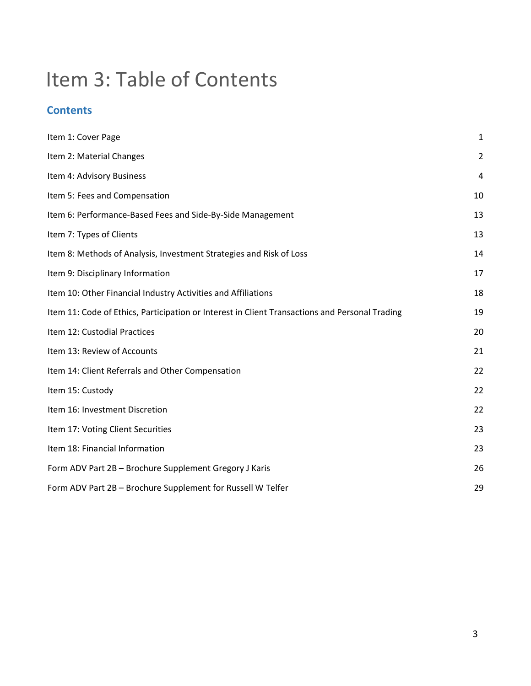## Item 3: Table of Contents

### **Contents**

| Item 1: Cover Page                                                                             | $\mathbf{1}$   |
|------------------------------------------------------------------------------------------------|----------------|
| Item 2: Material Changes                                                                       | $\overline{2}$ |
| Item 4: Advisory Business                                                                      | 4              |
| Item 5: Fees and Compensation                                                                  | 10             |
| Item 6: Performance-Based Fees and Side-By-Side Management                                     | 13             |
| Item 7: Types of Clients                                                                       | 13             |
| Item 8: Methods of Analysis, Investment Strategies and Risk of Loss                            | 14             |
| Item 9: Disciplinary Information                                                               | 17             |
| Item 10: Other Financial Industry Activities and Affiliations                                  | 18             |
| Item 11: Code of Ethics, Participation or Interest in Client Transactions and Personal Trading | 19             |
| Item 12: Custodial Practices                                                                   | 20             |
| Item 13: Review of Accounts                                                                    | 21             |
| Item 14: Client Referrals and Other Compensation                                               | 22             |
| Item 15: Custody                                                                               | 22             |
| Item 16: Investment Discretion                                                                 | 22             |
| Item 17: Voting Client Securities                                                              | 23             |
| Item 18: Financial Information                                                                 | 23             |
| Form ADV Part 2B - Brochure Supplement Gregory J Karis                                         | 26             |
| Form ADV Part 2B - Brochure Supplement for Russell W Telfer                                    | 29             |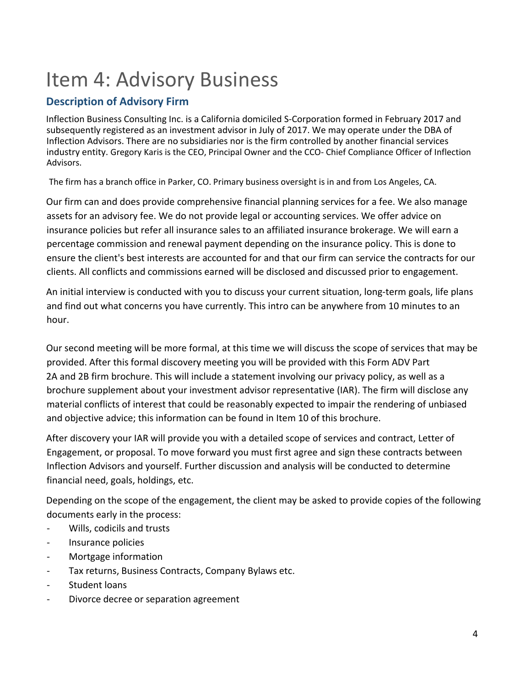## <span id="page-3-0"></span>Item 4: Advisory Business

### **Description of Advisory Firm**

Inflection Business Consulting Inc. is a California domiciled S-Corporation formed in February 2017 and subsequently registered as an investment advisor in July of 2017. We may operate under the DBA of Inflection Advisors. There are no subsidiaries nor is the firm controlled by another financial services industry entity. Gregory Karis is the CEO, Principal Owner and the CCO- Chief Compliance Officer of Inflection Advisors.

The firm has a branch office in Parker, CO. Primary business oversight is in and from Los Angeles, CA.

Our firm can and does provide comprehensive financial planning services for a fee. We also manage assets for an advisory fee. We do not provide legal or accounting services. We offer advice on insurance policies but refer all insurance sales to an affiliated insurance brokerage. We will earn a percentage commission and renewal payment depending on the insurance policy. This is done to ensure the client's best interests are accounted for and that our firm can service the contracts for our clients. All conflicts and commissions earned will be disclosed and discussed prior to engagement.

An initial interview is conducted with you to discuss your current situation, long-term goals, life plans and find out what concerns you have currently. This intro can be anywhere from 10 minutes to an hour.

Our second meeting will be more formal, at this time we will discuss the scope of services that may be provided. After this formal discovery meeting you will be provided with this Form ADV Part 2A and 2B firm brochure. This will include a statement involving our privacy policy, as well as a brochure supplement about your investment advisor representative (IAR). The firm will disclose any material conflicts of interest that could be reasonably expected to impair the rendering of unbiased and objective advice; this information can be found in Item 10 of this brochure.

After discovery your IAR will provide you with a detailed scope of services and contract, Letter of Engagement, or proposal. To move forward you must first agree and sign these contracts between Inflection Advisors and yourself. Further discussion and analysis will be conducted to determine financial need, goals, holdings, etc.

Depending on the scope of the engagement, the client may be asked to provide copies of the following documents early in the process:

- Wills, codicils and trusts
- Insurance policies
- Mortgage information
- Tax returns, Business Contracts, Company Bylaws etc.
- Student loans
- Divorce decree or separation agreement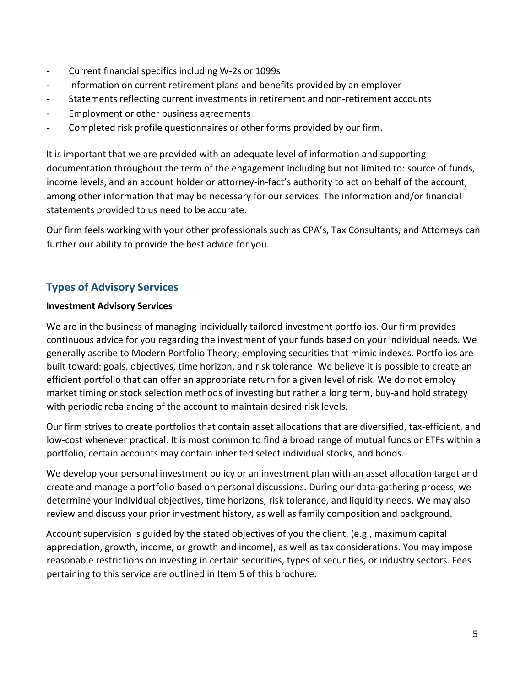- Current financial specifics including W-2s or 1099s
- Information on current retirement plans and benefits provided by an employer
- Statements reflecting current investments in retirement and non-retirement accounts
- Employment or other business agreements
- Completed risk profile questionnaires or other forms provided by our firm.

It is important that we are provided with an adequate level of information and supporting documentation throughout the term of the engagement including but not limited to: source of funds, income levels, and an account holder or attorney-in-fact's authority to act on behalf of the account, among other information that may be necessary for our services. The information and/or financial statements provided to us need to be accurate.

Our firm feels working with your other professionals such as CPA's, Tax Consultants, and Attorneys can further our ability to provide the best advice for you.

### **Types of Advisory Services**

### **Investment Advisory Services**

We are in the business of managing individually tailored investment portfolios. Our firm provides continuous advice for you regarding the investment of your funds based on your individual needs. We generally ascribe to Modern Portfolio Theory; employing securities that mimic indexes. Portfolios are built toward: goals, objectives, time horizon, and risk tolerance. We believe it is possible to create an efficient portfolio that can offer an appropriate return for a given level of risk. We do not employ market timing or stock selection methods of investing but rather a long term, buy-and hold strategy with periodic rebalancing of the account to maintain desired risk levels.

Our firm strives to create portfolios that contain asset allocations that are diversified, tax-efficient, and low-cost whenever practical. It is most common to find a broad range of mutual funds or ETFs within a portfolio, certain accounts may contain inherited select individual stocks, and bonds.

We develop your personal investment policy or an investment plan with an asset allocation target and create and manage a portfolio based on personal discussions. During our data-gathering process, we determine your individual objectives, time horizons, risk tolerance, and liquidity needs. We may also review and discuss your prior investment history, as well as family composition and background.

Account supervision is guided by the stated objectives of you the client. (e.g., maximum capital appreciation, growth, income, or growth and income), as well as tax considerations. You may impose reasonable restrictions on investing in certain securities, types of securities, or industry sectors. Fees pertaining to this service are outlined in Item 5 of this brochure.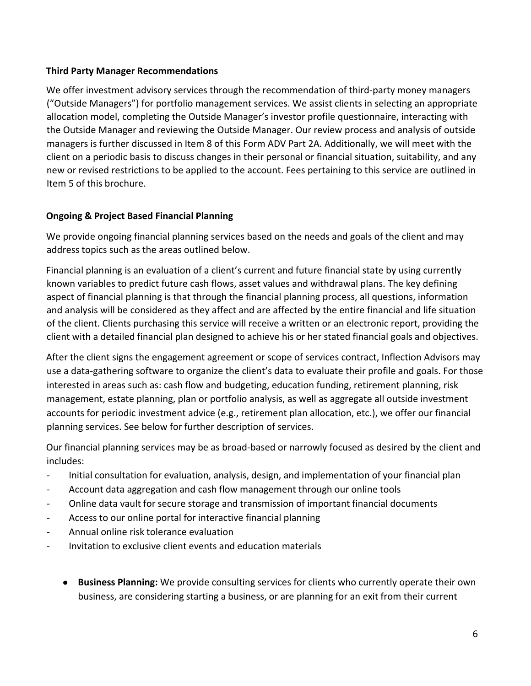### **Third Party Manager Recommendations**

We offer investment advisory services through the recommendation of third-party money managers ("Outside Managers") for portfolio management services. We assist clients in selecting an appropriate allocation model, completing the Outside Manager's investor profile questionnaire, interacting with the Outside Manager and reviewing the Outside Manager. Our review process and analysis of outside managers is further discussed in Item 8 of this Form ADV Part 2A. Additionally, we will meet with the client on a periodic basis to discuss changes in their personal or financial situation, suitability, and any new or revised restrictions to be applied to the account. Fees pertaining to this service are outlined in Item 5 of this brochure.

### **Ongoing & Project Based Financial Planning**

We provide ongoing financial planning services based on the needs and goals of the client and may address topics such as the areas outlined below.

Financial planning is an evaluation of a client's current and future financial state by using currently known variables to predict future cash flows, asset values and withdrawal plans. The key defining aspect of financial planning is that through the financial planning process, all questions, information and analysis will be considered as they affect and are affected by the entire financial and life situation of the client. Clients purchasing this service will receive a written or an electronic report, providing the client with a detailed financial plan designed to achieve his or her stated financial goals and objectives.

After the client signs the engagement agreement or scope of services contract, Inflection Advisors may use a data-gathering software to organize the client's data to evaluate their profile and goals. For those interested in areas such as: cash flow and budgeting, education funding, retirement planning, risk management, estate planning, plan or portfolio analysis, as well as aggregate all outside investment accounts for periodic investment advice (e.g., retirement plan allocation, etc.), we offer our financial planning services. See below for further description of services.

Our financial planning services may be as broad-based or narrowly focused as desired by the client and includes:

- Initial consultation for evaluation, analysis, design, and implementation of your financial plan
- Account data aggregation and cash flow management through our online tools
- Online data vault for secure storage and transmission of important financial documents
- Access to our online portal for interactive financial planning
- Annual online risk tolerance evaluation
- Invitation to exclusive client events and education materials
	- **Business Planning:** We provide consulting services for clients who currently operate their own business, are considering starting a business, or are planning for an exit from their current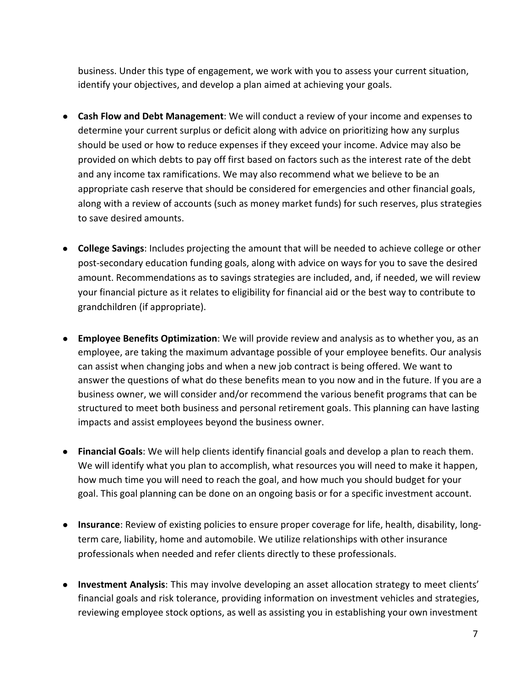business. Under this type of engagement, we work with you to assess your current situation, identify your objectives, and develop a plan aimed at achieving your goals.

- **Cash Flow and Debt Management**: We will conduct a review of your income and expenses to determine your current surplus or deficit along with advice on prioritizing how any surplus should be used or how to reduce expenses if they exceed your income. Advice may also be provided on which debts to pay off first based on factors such as the interest rate of the debt and any income tax ramifications. We may also recommend what we believe to be an appropriate cash reserve that should be considered for emergencies and other financial goals, along with a review of accounts (such as money market funds) for such reserves, plus strategies to save desired amounts.
- **College Savings**: Includes projecting the amount that will be needed to achieve college or other post-secondary education funding goals, along with advice on ways for you to save the desired amount. Recommendations as to savings strategies are included, and, if needed, we will review your financial picture as it relates to eligibility for financial aid or the best way to contribute to grandchildren (if appropriate).
- **Employee Benefits Optimization**: We will provide review and analysis as to whether you, as an employee, are taking the maximum advantage possible of your employee benefits. Our analysis can assist when changing jobs and when a new job contract is being offered. We want to answer the questions of what do these benefits mean to you now and in the future. If you are a business owner, we will consider and/or recommend the various benefit programs that can be structured to meet both business and personal retirement goals. This planning can have lasting impacts and assist employees beyond the business owner.
- **Financial Goals**: We will help clients identify financial goals and develop a plan to reach them. We will identify what you plan to accomplish, what resources you will need to make it happen, how much time you will need to reach the goal, and how much you should budget for your goal. This goal planning can be done on an ongoing basis or for a specific investment account.
- **Insurance**: Review of existing policies to ensure proper coverage for life, health, disability, longterm care, liability, home and automobile. We utilize relationships with other insurance professionals when needed and refer clients directly to these professionals.
- **Investment Analysis**: This may involve developing an asset allocation strategy to meet clients' financial goals and risk tolerance, providing information on investment vehicles and strategies, reviewing employee stock options, as well as assisting you in establishing your own investment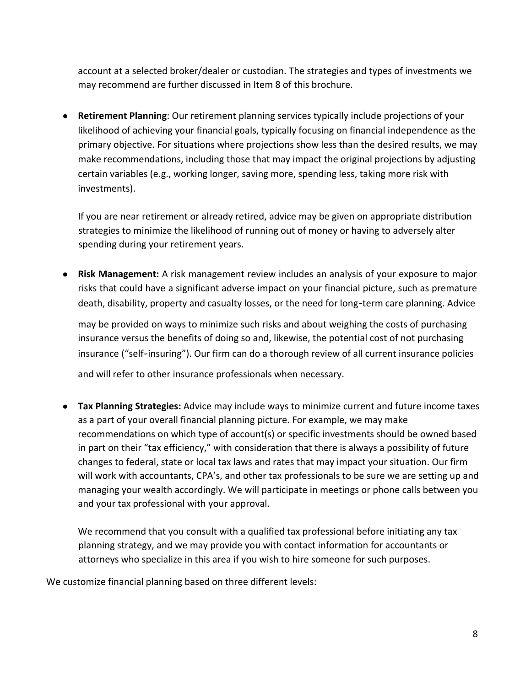account at a selected broker/dealer or custodian. The strategies and types of investments we may recommend are further discussed in Item 8 of this brochure.

● **Retirement Planning**: Our retirement planning services typically include projections of your likelihood of achieving your financial goals, typically focusing on financial independence as the primary objective. For situations where projections show less than the desired results, we may make recommendations, including those that may impact the original projections by adjusting certain variables (e.g., working longer, saving more, spending less, taking more risk with investments).

If you are near retirement or already retired, advice may be given on appropriate distribution strategies to minimize the likelihood of running out of money or having to adversely alter spending during your retirement years.

● **Risk Management:** A risk management review includes an analysis of your exposure to major risks that could have a significant adverse impact on your financial picture, such as premature death, disability, property and casualty losses, or the need for long-term care planning. Advice

may be provided on ways to minimize such risks and about weighing the costs of purchasing insurance versus the benefits of doing so and, likewise, the potential cost of not purchasing insurance ("self-insuring"). Our firm can do a thorough review of all current insurance policies

and will refer to other insurance professionals when necessary.

● **Tax Planning Strategies:** Advice may include ways to minimize current and future income taxes as a part of your overall financial planning picture. For example, we may make recommendations on which type of account(s) or specific investments should be owned based in part on their "tax efficiency," with consideration that there is always a possibility of future changes to federal, state or local tax laws and rates that may impact your situation. Our firm will work with accountants, CPA's, and other tax professionals to be sure we are setting up and managing your wealth accordingly. We will participate in meetings or phone calls between you and your tax professional with your approval.

We recommend that you consult with a qualified tax professional before initiating any tax planning strategy, and we may provide you with contact information for accountants or attorneys who specialize in this area if you wish to hire someone for such purposes.

We customize financial planning based on three different levels: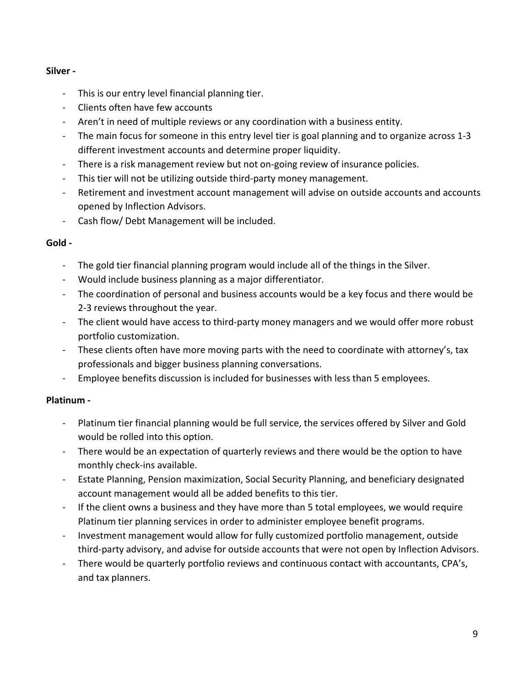### **Silver -**

- This is our entry level financial planning tier.
- Clients often have few accounts
- Aren't in need of multiple reviews or any coordination with a business entity.
- The main focus for someone in this entry level tier is goal planning and to organize across 1-3 different investment accounts and determine proper liquidity.
- There is a risk management review but not on-going review of insurance policies.
- This tier will not be utilizing outside third-party money management.
- Retirement and investment account management will advise on outside accounts and accounts opened by Inflection Advisors.
- Cash flow/ Debt Management will be included.

### **Gold -**

- The gold tier financial planning program would include all of the things in the Silver.
- Would include business planning as a major differentiator.
- The coordination of personal and business accounts would be a key focus and there would be 2-3 reviews throughout the year.
- The client would have access to third-party money managers and we would offer more robust portfolio customization.
- These clients often have more moving parts with the need to coordinate with attorney's, tax professionals and bigger business planning conversations.
- Employee benefits discussion is included for businesses with less than 5 employees.

### **Platinum -**

- Platinum tier financial planning would be full service, the services offered by Silver and Gold would be rolled into this option.
- There would be an expectation of quarterly reviews and there would be the option to have monthly check-ins available.
- Estate Planning, Pension maximization, Social Security Planning, and beneficiary designated account management would all be added benefits to this tier.
- If the client owns a business and they have more than 5 total employees, we would require Platinum tier planning services in order to administer employee benefit programs.
- Investment management would allow for fully customized portfolio management, outside third-party advisory, and advise for outside accounts that were not open by Inflection Advisors.
- There would be quarterly portfolio reviews and continuous contact with accountants, CPA's, and tax planners.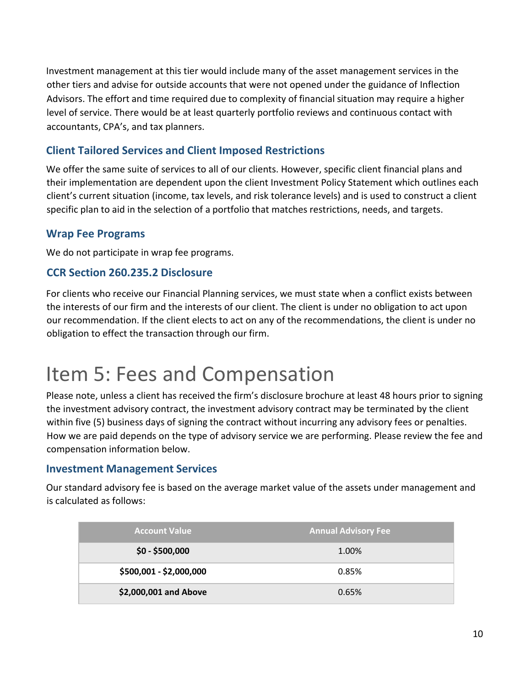Investment management at this tier would include many of the asset management services in the other tiers and advise for outside accounts that were not opened under the guidance of Inflection Advisors. The effort and time required due to complexity of financial situation may require a higher level of service. There would be at least quarterly portfolio reviews and continuous contact with accountants, CPA's, and tax planners.

### **Client Tailored Services and Client Imposed Restrictions**

We offer the same suite of services to all of our clients. However, specific client financial plans and their implementation are dependent upon the client Investment Policy Statement which outlines each client's current situation (income, tax levels, and risk tolerance levels) and is used to construct a client specific plan to aid in the selection of a portfolio that matches restrictions, needs, and targets.

### **Wrap Fee Programs**

We do not participate in wrap fee programs.

### **CCR Section 260.235.2 Disclosure**

For clients who receive our Financial Planning services, we must state when a conflict exists between the interests of our firm and the interests of our client. The client is under no obligation to act upon our recommendation. If the client elects to act on any of the recommendations, the client is under no obligation to effect the transaction through our firm.

### <span id="page-9-0"></span>Item 5: Fees and Compensation

Please note, unless a client has received the firm's disclosure brochure at least 48 hours prior to signing the investment advisory contract, the investment advisory contract may be terminated by the client within five (5) business days of signing the contract without incurring any advisory fees or penalties. How we are paid depends on the type of advisory service we are performing. Please review the fee and compensation information below.

### **Investment Management Services**

Our standard advisory fee is based on the average market value of the assets under management and is calculated as follows:

| <b>Account Value</b>    | <b>Annual Advisory Fee</b> |
|-------------------------|----------------------------|
| $$0 - $500,000$         | 1.00%                      |
| \$500,001 - \$2,000,000 | 0.85%                      |
| \$2,000,001 and Above   | 0.65%                      |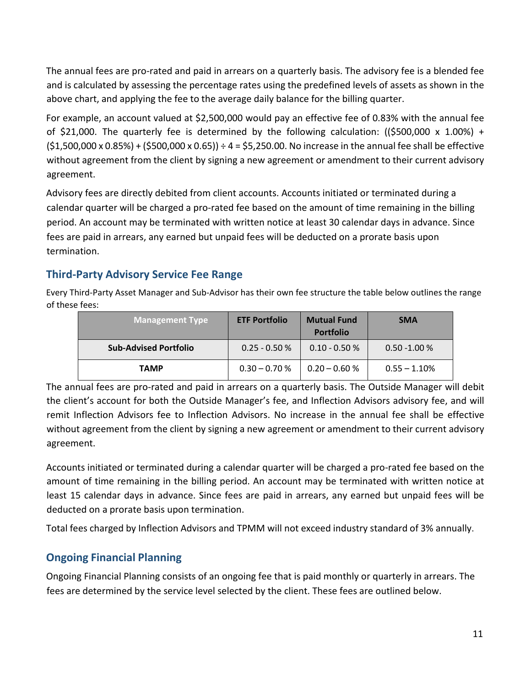The annual fees are pro-rated and paid in arrears on a quarterly basis. The advisory fee is a blended fee and is calculated by assessing the percentage rates using the predefined levels of assets as shown in the above chart, and applying the fee to the average daily balance for the billing quarter.

For example, an account valued at \$2,500,000 would pay an effective fee of 0.83% with the annual fee of \$21,000. The quarterly fee is determined by the following calculation:  $(\$500,000 \times 1.00\%) +$  $(51,500,000 \times 0.85%) + (5500,000 \times 0.65)) \div 4 = 55,250.00$ . No increase in the annual fee shall be effective without agreement from the client by signing a new agreement or amendment to their current advisory agreement.

Advisory fees are directly debited from client accounts. Accounts initiated or terminated during a calendar quarter will be charged a pro-rated fee based on the amount of time remaining in the billing period. An account may be terminated with written notice at least 30 calendar days in advance. Since fees are paid in arrears, any earned but unpaid fees will be deducted on a prorate basis upon termination.

### **Third-Party Advisory Service Fee Range**

Every Third-Party Asset Manager and Sub-Advisor has their own fee structure the table below outlines the range of these fees:

| <b>Management Type</b>       | <b>ETF Portfolio</b> | <b>Mutual Fund</b><br><b>Portfolio</b> | <b>SMA</b>      |
|------------------------------|----------------------|----------------------------------------|-----------------|
| <b>Sub-Advised Portfolio</b> | $0.25 - 0.50 %$      | $0.10 - 0.50 %$                        | $0.50 - 1.00 %$ |
| <b>TAMP</b>                  | $0.30 - 0.70 %$      | $0.20 - 0.60 %$                        | $0.55 - 1.10\%$ |

The annual fees are pro-rated and paid in arrears on a quarterly basis. The Outside Manager will debit the client's account for both the Outside Manager's fee, and Inflection Advisors advisory fee, and will remit Inflection Advisors fee to Inflection Advisors. No increase in the annual fee shall be effective without agreement from the client by signing a new agreement or amendment to their current advisory agreement.

Accounts initiated or terminated during a calendar quarter will be charged a pro-rated fee based on the amount of time remaining in the billing period. An account may be terminated with written notice at least 15 calendar days in advance. Since fees are paid in arrears, any earned but unpaid fees will be deducted on a prorate basis upon termination.

Total fees charged by Inflection Advisors and TPMM will not exceed industry standard of 3% annually.

### **Ongoing Financial Planning**

Ongoing Financial Planning consists of an ongoing fee that is paid monthly or quarterly in arrears. The fees are determined by the service level selected by the client. These fees are outlined below.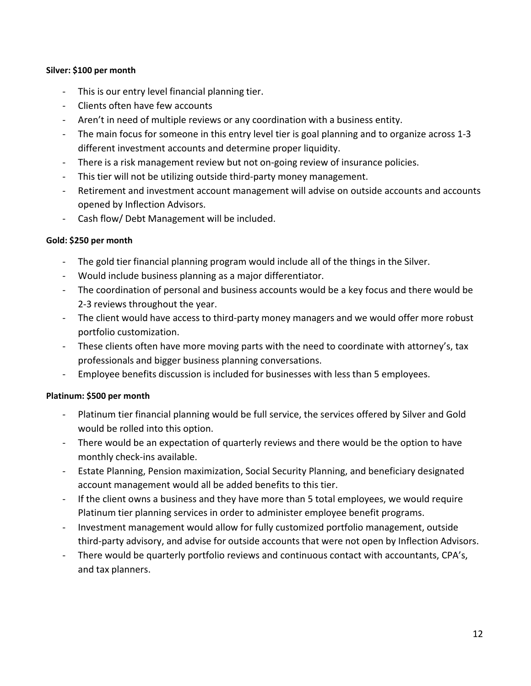#### **Silver: \$100 per month**

- This is our entry level financial planning tier.
- Clients often have few accounts
- Aren't in need of multiple reviews or any coordination with a business entity.
- The main focus for someone in this entry level tier is goal planning and to organize across 1-3 different investment accounts and determine proper liquidity.
- There is a risk management review but not on-going review of insurance policies.
- This tier will not be utilizing outside third-party money management.
- Retirement and investment account management will advise on outside accounts and accounts opened by Inflection Advisors.
- Cash flow/ Debt Management will be included.

#### **Gold: \$250 per month**

- The gold tier financial planning program would include all of the things in the Silver.
- Would include business planning as a major differentiator.
- The coordination of personal and business accounts would be a key focus and there would be 2-3 reviews throughout the year.
- The client would have access to third-party money managers and we would offer more robust portfolio customization.
- These clients often have more moving parts with the need to coordinate with attorney's, tax professionals and bigger business planning conversations.
- Employee benefits discussion is included for businesses with less than 5 employees.

#### **Platinum: \$500 per month**

- Platinum tier financial planning would be full service, the services offered by Silver and Gold would be rolled into this option.
- There would be an expectation of quarterly reviews and there would be the option to have monthly check-ins available.
- Estate Planning, Pension maximization, Social Security Planning, and beneficiary designated account management would all be added benefits to this tier.
- If the client owns a business and they have more than 5 total employees, we would require Platinum tier planning services in order to administer employee benefit programs.
- Investment management would allow for fully customized portfolio management, outside third-party advisory, and advise for outside accounts that were not open by Inflection Advisors.
- There would be quarterly portfolio reviews and continuous contact with accountants, CPA's, and tax planners.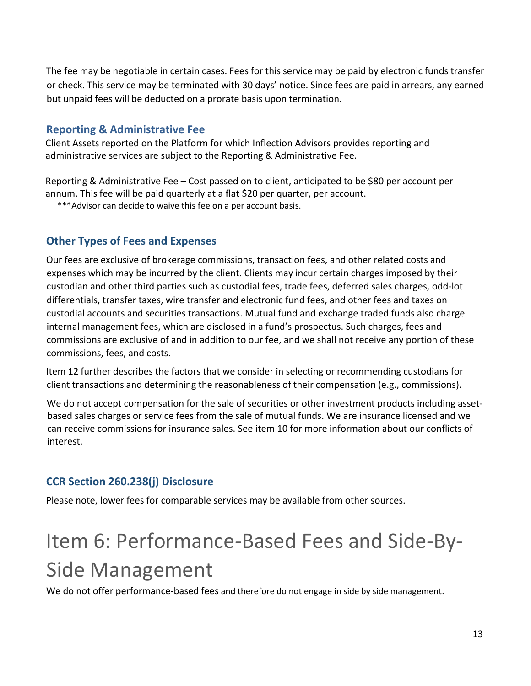The fee may be negotiable in certain cases. Fees for this service may be paid by electronic funds transfer or check. This service may be terminated with 30 days' notice. Since fees are paid in arrears, any earned but unpaid fees will be deducted on a prorate basis upon termination.

### **Reporting & Administrative Fee**

Client Assets reported on the Platform for which Inflection Advisors provides reporting and administrative services are subject to the Reporting & Administrative Fee.

Reporting & Administrative Fee – Cost passed on to client, anticipated to be \$80 per account per annum. This fee will be paid quarterly at a flat \$20 per quarter, per account.

\*\*\*Advisor can decide to waive this fee on a per account basis.

### **Other Types of Fees and Expenses**

Our fees are exclusive of brokerage commissions, transaction fees, and other related costs and expenses which may be incurred by the client. Clients may incur certain charges imposed by their custodian and other third parties such as custodial fees, trade fees, deferred sales charges, odd-lot differentials, transfer taxes, wire transfer and electronic fund fees, and other fees and taxes on custodial accounts and securities transactions. Mutual fund and exchange traded funds also charge internal management fees, which are disclosed in a fund's prospectus. Such charges, fees and commissions are exclusive of and in addition to our fee, and we shall not receive any portion of these commissions, fees, and costs.

Item 12 further describes the factors that we consider in selecting or recommending custodians for client transactions and determining the reasonableness of their compensation (e.g., commissions).

We do not accept compensation for the sale of securities or other investment products including assetbased sales charges or service fees from the sale of mutual funds. We are insurance licensed and we can receive commissions for insurance sales. See item 10 for more information about our conflicts of interest.

### **CCR Section 260.238(j) Disclosure**

Please note, lower fees for comparable services may be available from other sources.

# <span id="page-12-0"></span>Item 6: Performance-Based Fees and Side-By-Side Management

We do not offer performance-based fees and therefore do not engage in side by side management.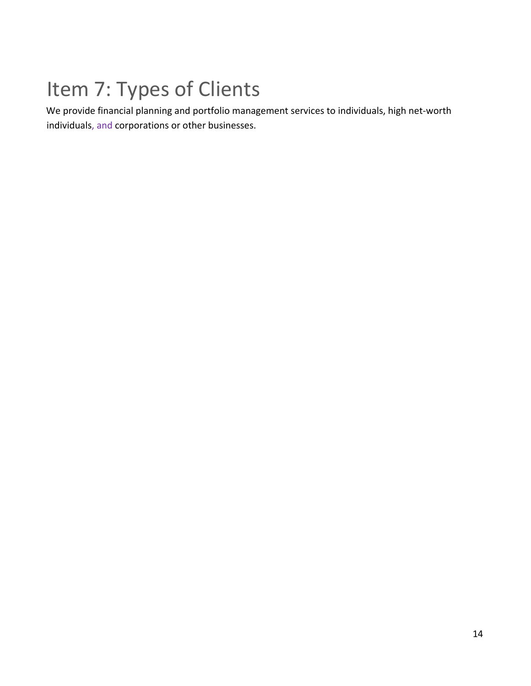# <span id="page-13-0"></span>Item 7: Types of Clients

We provide financial planning and portfolio management services to individuals, high net-worth individuals, and corporations or other businesses.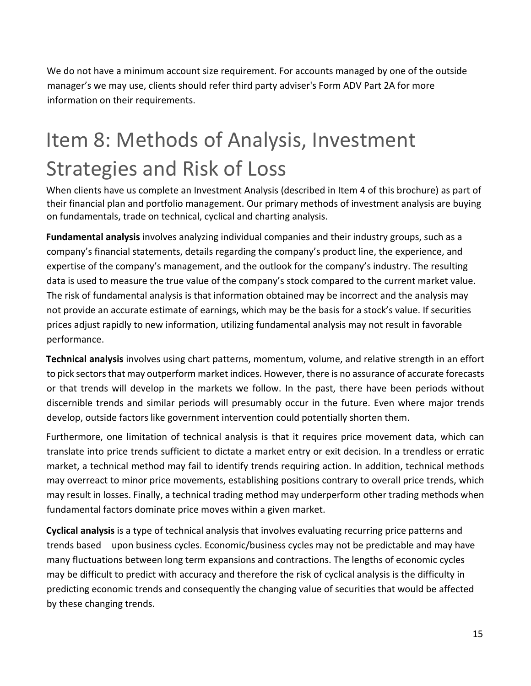We do not have a minimum account size requirement. For accounts managed by one of the outside manager's we may use, clients should refer third party adviser's Form ADV Part 2A for more information on their requirements.

## <span id="page-14-0"></span>Item 8: Methods of Analysis, Investment Strategies and Risk of Loss

When clients have us complete an Investment Analysis (described in Item 4 of this brochure) as part of their financial plan and portfolio management. Our primary methods of investment analysis are buying on fundamentals, trade on technical, cyclical and charting analysis.

**Fundamental analysis** involves analyzing individual companies and their industry groups, such as a company's financial statements, details regarding the company's product line, the experience, and expertise of the company's management, and the outlook for the company's industry. The resulting data is used to measure the true value of the company's stock compared to the current market value. The risk of fundamental analysis is that information obtained may be incorrect and the analysis may not provide an accurate estimate of earnings, which may be the basis for a stock's value. If securities prices adjust rapidly to new information, utilizing fundamental analysis may not result in favorable performance.

**Technical analysis** involves using chart patterns, momentum, volume, and relative strength in an effort to pick sectorsthat may outperform market indices. However, there is no assurance of accurate forecasts or that trends will develop in the markets we follow. In the past, there have been periods without discernible trends and similar periods will presumably occur in the future. Even where major trends develop, outside factors like government intervention could potentially shorten them.

Furthermore, one limitation of technical analysis is that it requires price movement data, which can translate into price trends sufficient to dictate a market entry or exit decision. In a trendless or erratic market, a technical method may fail to identify trends requiring action. In addition, technical methods may overreact to minor price movements, establishing positions contrary to overall price trends, which may result in losses. Finally, a technical trading method may underperform other trading methods when fundamental factors dominate price moves within a given market.

**Cyclical analysis** is a type of technical analysis that involves evaluating recurring price patterns and trends based upon business cycles. Economic/business cycles may not be predictable and may have many fluctuations between long term expansions and contractions. The lengths of economic cycles may be difficult to predict with accuracy and therefore the risk of cyclical analysis is the difficulty in predicting economic trends and consequently the changing value of securities that would be affected by these changing trends.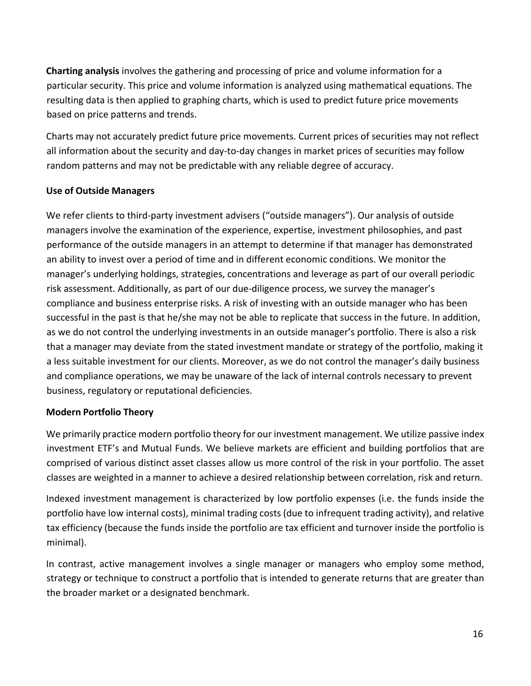**Charting analysis** involves the gathering and processing of price and volume information for a particular security. This price and volume information is analyzed using mathematical equations. The resulting data is then applied to graphing charts, which is used to predict future price movements based on price patterns and trends.

Charts may not accurately predict future price movements. Current prices of securities may not reflect all information about the security and day-to-day changes in market prices of securities may follow random patterns and may not be predictable with any reliable degree of accuracy.

### **Use of Outside Managers**

We refer clients to third-party investment advisers ("outside managers"). Our analysis of outside managers involve the examination of the experience, expertise, investment philosophies, and past performance of the outside managers in an attempt to determine if that manager has demonstrated an ability to invest over a period of time and in different economic conditions. We monitor the manager's underlying holdings, strategies, concentrations and leverage as part of our overall periodic risk assessment. Additionally, as part of our due-diligence process, we survey the manager's compliance and business enterprise risks. A risk of investing with an outside manager who has been successful in the past is that he/she may not be able to replicate that success in the future. In addition, as we do not control the underlying investments in an outside manager's portfolio. There is also a risk that a manager may deviate from the stated investment mandate or strategy of the portfolio, making it a less suitable investment for our clients. Moreover, as we do not control the manager's daily business and compliance operations, we may be unaware of the lack of internal controls necessary to prevent business, regulatory or reputational deficiencies.

#### **Modern Portfolio Theory**

We primarily practice modern portfolio theory for our investment management. We utilize passive index investment ETF's and Mutual Funds. We believe markets are efficient and building portfolios that are comprised of various distinct asset classes allow us more control of the risk in your portfolio. The asset classes are weighted in a manner to achieve a desired relationship between correlation, risk and return.

Indexed investment management is characterized by low portfolio expenses (i.e. the funds inside the portfolio have low internal costs), minimal trading costs (due to infrequent trading activity), and relative tax efficiency (because the funds inside the portfolio are tax efficient and turnover inside the portfolio is minimal).

In contrast, active management involves a single manager or managers who employ some method, strategy or technique to construct a portfolio that is intended to generate returns that are greater than the broader market or a designated benchmark.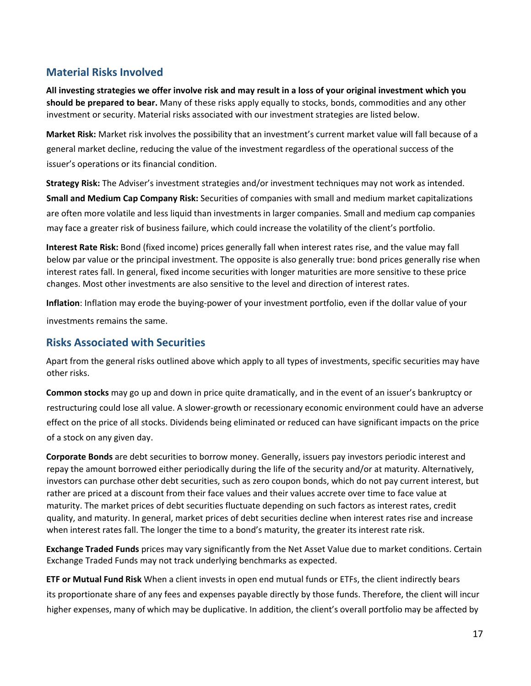### **Material Risks Involved**

**All investing strategies we offer involve risk and may result in a loss of your original investment which you should be prepared to bear.** Many of these risks apply equally to stocks, bonds, commodities and any other investment or security. Material risks associated with our investment strategies are listed below.

**Market Risk:** Market risk involves the possibility that an investment's current market value will fall because of a general market decline, reducing the value of the investment regardless of the operational success of the issuer's operations or its financial condition.

**Strategy Risk:** The Adviser's investment strategies and/or investment techniques may not work as intended. **Small and Medium Cap Company Risk:** Securities of companies with small and medium market capitalizations are often more volatile and less liquid than investments in larger companies. Small and medium cap companies may face a greater risk of business failure, which could increase the volatility of the client's portfolio.

**Interest Rate Risk:** Bond (fixed income) prices generally fall when interest rates rise, and the value may fall below par value or the principal investment. The opposite is also generally true: bond prices generally rise when interest rates fall. In general, fixed income securities with longer maturities are more sensitive to these price changes. Most other investments are also sensitive to the level and direction of interest rates.

**Inflation**: Inflation may erode the buying-power of your investment portfolio, even if the dollar value of your

investments remains the same.

### **Risks Associated with Securities**

Apart from the general risks outlined above which apply to all types of investments, specific securities may have other risks.

**Common stocks** may go up and down in price quite dramatically, and in the event of an issuer's bankruptcy or restructuring could lose all value. A slower-growth or recessionary economic environment could have an adverse effect on the price of all stocks. Dividends being eliminated or reduced can have significant impacts on the price of a stock on any given day.

**Corporate Bonds** are debt securities to borrow money. Generally, issuers pay investors periodic interest and repay the amount borrowed either periodically during the life of the security and/or at maturity. Alternatively, investors can purchase other debt securities, such as zero coupon bonds, which do not pay current interest, but rather are priced at a discount from their face values and their values accrete over time to face value at maturity. The market prices of debt securities fluctuate depending on such factors as interest rates, credit quality, and maturity. In general, market prices of debt securities decline when interest rates rise and increase when interest rates fall. The longer the time to a bond's maturity, the greater its interest rate risk.

**Exchange Traded Funds** prices may vary significantly from the Net Asset Value due to market conditions. Certain Exchange Traded Funds may not track underlying benchmarks as expected.

**ETF or Mutual Fund Risk** When a client invests in open end mutual funds or ETFs, the client indirectly bears its proportionate share of any fees and expenses payable directly by those funds. Therefore, the client will incur higher expenses, many of which may be duplicative. In addition, the client's overall portfolio may be affected by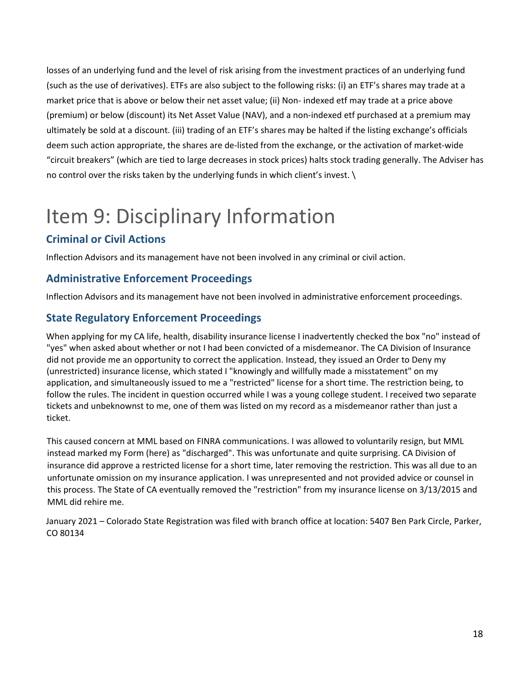losses of an underlying fund and the level of risk arising from the investment practices of an underlying fund (such as the use of derivatives). ETFs are also subject to the following risks: (i) an ETF's shares may trade at a market price that is above or below their net asset value; (ii) Non- indexed etf may trade at a price above (premium) or below (discount) its Net Asset Value (NAV), and a non-indexed etf purchased at a premium may ultimately be sold at a discount. (iii) trading of an ETF's shares may be halted if the listing exchange's officials deem such action appropriate, the shares are de-listed from the exchange, or the activation of market-wide "circuit breakers" (which are tied to large decreases in stock prices) halts stock trading generally. The Adviser has no control over the risks taken by the underlying funds in which client's invest. \

## <span id="page-17-0"></span>Item 9: Disciplinary Information

### **Criminal or Civil Actions**

Inflection Advisors and its management have not been involved in any criminal or civil action.

### **Administrative Enforcement Proceedings**

Inflection Advisors and its management have not been involved in administrative enforcement proceedings.

### **State Regulatory Enforcement Proceedings**

When applying for my CA life, health, disability insurance license I inadvertently checked the box "no" instead of "yes" when asked about whether or not I had been convicted of a misdemeanor. The CA Division of Insurance did not provide me an opportunity to correct the application. Instead, they issued an Order to Deny my (unrestricted) insurance license, which stated I "knowingly and willfully made a misstatement" on my application, and simultaneously issued to me a "restricted" license for a short time. The restriction being, to follow the rules. The incident in question occurred while I was a young college student. I received two separate tickets and unbeknownst to me, one of them was listed on my record as a misdemeanor rather than just a ticket.

This caused concern at MML based on FINRA communications. I was allowed to voluntarily resign, but MML instead marked my Form (here) as "discharged". This was unfortunate and quite surprising. CA Division of insurance did approve a restricted license for a short time, later removing the restriction. This was all due to an unfortunate omission on my insurance application. I was unrepresented and not provided advice or counsel in this process. The State of CA eventually removed the "restriction" from my insurance license on 3/13/2015 and MML did rehire me.

January 2021 – Colorado State Registration was filed with branch office at location: 5407 Ben Park Circle, Parker, CO 80134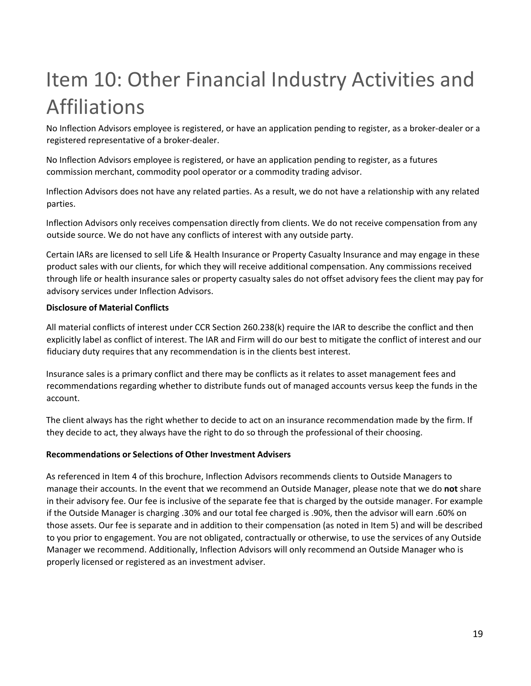# <span id="page-18-0"></span>Item 10: Other Financial Industry Activities and Affiliations

No Inflection Advisors employee is registered, or have an application pending to register, as a broker-dealer or a registered representative of a broker-dealer.

No Inflection Advisors employee is registered, or have an application pending to register, as a futures commission merchant, commodity pool operator or a commodity trading advisor.

Inflection Advisors does not have any related parties. As a result, we do not have a relationship with any related parties.

Inflection Advisors only receives compensation directly from clients. We do not receive compensation from any outside source. We do not have any conflicts of interest with any outside party.

Certain IARs are licensed to sell Life & Health Insurance or Property Casualty Insurance and may engage in these product sales with our clients, for which they will receive additional compensation. Any commissions received through life or health insurance sales or property casualty sales do not offset advisory fees the client may pay for advisory services under Inflection Advisors.

#### **Disclosure of Material Conflicts**

All material conflicts of interest under CCR Section 260.238(k) require the IAR to describe the conflict and then explicitly label as conflict of interest. The IAR and Firm will do our best to mitigate the conflict of interest and our fiduciary duty requires that any recommendation is in the clients best interest.

Insurance sales is a primary conflict and there may be conflicts as it relates to asset management fees and recommendations regarding whether to distribute funds out of managed accounts versus keep the funds in the account.

The client always has the right whether to decide to act on an insurance recommendation made by the firm. If they decide to act, they always have the right to do so through the professional of their choosing.

#### **Recommendations or Selections of Other Investment Advisers**

As referenced in Item 4 of this brochure, Inflection Advisors recommends clients to Outside Managers to manage their accounts. In the event that we recommend an Outside Manager, please note that we do **not** share in their advisory fee. Our fee is inclusive of the separate fee that is charged by the outside manager. For example if the Outside Manager is charging .30% and our total fee charged is .90%, then the advisor will earn .60% on those assets. Our fee is separate and in addition to their compensation (as noted in Item 5) and will be described to you prior to engagement. You are not obligated, contractually or otherwise, to use the services of any Outside Manager we recommend. Additionally, Inflection Advisors will only recommend an Outside Manager who is properly licensed or registered as an investment adviser.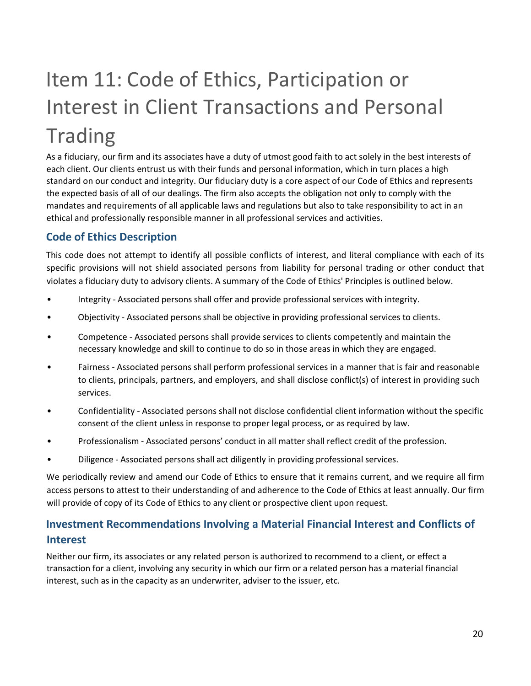# <span id="page-19-0"></span>Item 11: Code of Ethics, Participation or Interest in Client Transactions and Personal **Trading**

As a fiduciary, our firm and its associates have a duty of utmost good faith to act solely in the best interests of each client. Our clients entrust us with their funds and personal information, which in turn places a high standard on our conduct and integrity. Our fiduciary duty is a core aspect of our Code of Ethics and represents the expected basis of all of our dealings. The firm also accepts the obligation not only to comply with the mandates and requirements of all applicable laws and regulations but also to take responsibility to act in an ethical and professionally responsible manner in all professional services and activities.

### **Code of Ethics Description**

This code does not attempt to identify all possible conflicts of interest, and literal compliance with each of its specific provisions will not shield associated persons from liability for personal trading or other conduct that violates a fiduciary duty to advisory clients. A summary of the Code of Ethics' Principles is outlined below.

- Integrity Associated persons shall offer and provide professional services with integrity.
- Objectivity Associated persons shall be objective in providing professional services to clients.
- Competence Associated persons shall provide services to clients competently and maintain the necessary knowledge and skill to continue to do so in those areas in which they are engaged.
- Fairness Associated persons shall perform professional services in a manner that is fair and reasonable to clients, principals, partners, and employers, and shall disclose conflict(s) of interest in providing such services.
- Confidentiality Associated persons shall not disclose confidential client information without the specific consent of the client unless in response to proper legal process, or as required by law.
- Professionalism Associated persons' conduct in all matter shall reflect credit of the profession.
- Diligence Associated persons shall act diligently in providing professional services.

We periodically review and amend our Code of Ethics to ensure that it remains current, and we require all firm access persons to attest to their understanding of and adherence to the Code of Ethics at least annually. Our firm will provide of copy of its Code of Ethics to any client or prospective client upon request.

### **Investment Recommendations Involving a Material Financial Interest and Conflicts of Interest**

Neither our firm, its associates or any related person is authorized to recommend to a client, or effect a transaction for a client, involving any security in which our firm or a related person has a material financial interest, such as in the capacity as an underwriter, adviser to the issuer, etc.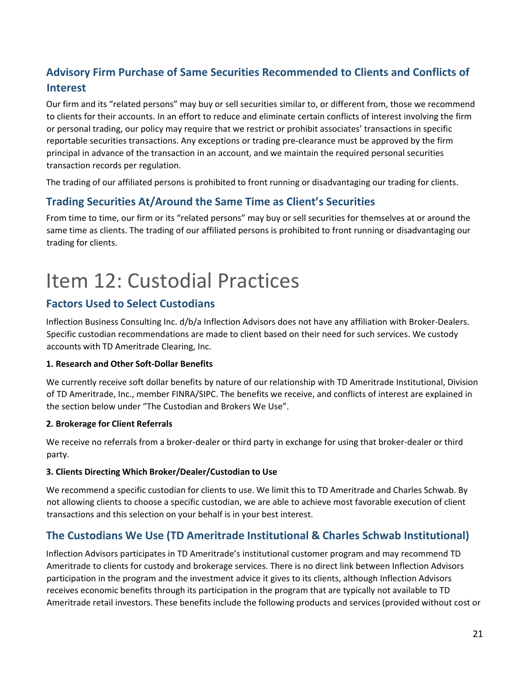### **Advisory Firm Purchase of Same Securities Recommended to Clients and Conflicts of Interest**

Our firm and its "related persons" may buy or sell securities similar to, or different from, those we recommend to clients for their accounts. In an effort to reduce and eliminate certain conflicts of interest involving the firm or personal trading, our policy may require that we restrict or prohibit associates' transactions in specific reportable securities transactions. Any exceptions or trading pre-clearance must be approved by the firm principal in advance of the transaction in an account, and we maintain the required personal securities transaction records per regulation.

The trading of our affiliated persons is prohibited to front running or disadvantaging our trading for clients.

### **Trading Securities At/Around the Same Time as Client's Securities**

From time to time, our firm or its "related persons" may buy or sell securities for themselves at or around the same time as clients. The trading of our affiliated persons is prohibited to front running or disadvantaging our trading for clients.

## <span id="page-20-0"></span>Item 12: Custodial Practices

### **Factors Used to Select Custodians**

Inflection Business Consulting Inc. d/b/a Inflection Advisors does not have any affiliation with Broker-Dealers. Specific custodian recommendations are made to client based on their need for such services. We custody accounts with TD Ameritrade Clearing, Inc.

#### **1. Research and Other Soft-Dollar Benefits**

We currently receive soft dollar benefits by nature of our relationship with TD Ameritrade Institutional, Division of TD Ameritrade, Inc., member FINRA/SIPC. The benefits we receive, and conflicts of interest are explained in the section below under "The Custodian and Brokers We Use".

#### **2. Brokerage for Client Referrals**

We receive no referrals from a broker-dealer or third party in exchange for using that broker-dealer or third party.

#### **3. Clients Directing Which Broker/Dealer/Custodian to Use**

We recommend a specific custodian for clients to use. We limit this to TD Ameritrade and Charles Schwab. By not allowing clients to choose a specific custodian, we are able to achieve most favorable execution of client transactions and this selection on your behalf is in your best interest.

### **The Custodians We Use (TD Ameritrade Institutional & Charles Schwab Institutional)**

Inflection Advisors participates in TD Ameritrade's institutional customer program and may recommend TD Ameritrade to clients for custody and brokerage services. There is no direct link between Inflection Advisors participation in the program and the investment advice it gives to its clients, although Inflection Advisors receives economic benefits through its participation in the program that are typically not available to TD Ameritrade retail investors. These benefits include the following products and services (provided without cost or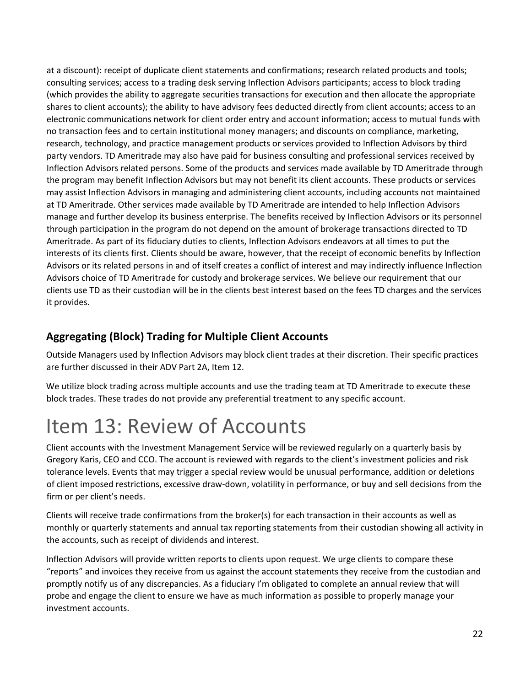at a discount): receipt of duplicate client statements and confirmations; research related products and tools; consulting services; access to a trading desk serving Inflection Advisors participants; access to block trading (which provides the ability to aggregate securities transactions for execution and then allocate the appropriate shares to client accounts); the ability to have advisory fees deducted directly from client accounts; access to an electronic communications network for client order entry and account information; access to mutual funds with no transaction fees and to certain institutional money managers; and discounts on compliance, marketing, research, technology, and practice management products or services provided to Inflection Advisors by third party vendors. TD Ameritrade may also have paid for business consulting and professional services received by Inflection Advisors related persons. Some of the products and services made available by TD Ameritrade through the program may benefit Inflection Advisors but may not benefit its client accounts. These products or services may assist Inflection Advisors in managing and administering client accounts, including accounts not maintained at TD Ameritrade. Other services made available by TD Ameritrade are intended to help Inflection Advisors manage and further develop its business enterprise. The benefits received by Inflection Advisors or its personnel through participation in the program do not depend on the amount of brokerage transactions directed to TD Ameritrade. As part of its fiduciary duties to clients, Inflection Advisors endeavors at all times to put the interests of its clients first. Clients should be aware, however, that the receipt of economic benefits by Inflection Advisors or its related persons in and of itself creates a conflict of interest and may indirectly influence Inflection Advisors choice of TD Ameritrade for custody and brokerage services. We believe our requirement that our clients use TD as their custodian will be in the clients best interest based on the fees TD charges and the services it provides.

### **Aggregating (Block) Trading for Multiple Client Accounts**

Outside Managers used by Inflection Advisors may block client trades at their discretion. Their specific practices are further discussed in their ADV Part 2A, Item 12.

We utilize block trading across multiple accounts and use the trading team at TD Ameritrade to execute these block trades. These trades do not provide any preferential treatment to any specific account.

## <span id="page-21-0"></span>Item 13: Review of Accounts

Client accounts with the Investment Management Service will be reviewed regularly on a quarterly basis by Gregory Karis, CEO and CCO. The account is reviewed with regards to the client's investment policies and risk tolerance levels. Events that may trigger a special review would be unusual performance, addition or deletions of client imposed restrictions, excessive draw-down, volatility in performance, or buy and sell decisions from the firm or per client's needs.

Clients will receive trade confirmations from the broker(s) for each transaction in their accounts as well as monthly or quarterly statements and annual tax reporting statements from their custodian showing all activity in the accounts, such as receipt of dividends and interest.

Inflection Advisors will provide written reports to clients upon request. We urge clients to compare these "reports" and invoices they receive from us against the account statements they receive from the custodian and promptly notify us of any discrepancies. As a fiduciary I'm obligated to complete an annual review that will probe and engage the client to ensure we have as much information as possible to properly manage your investment accounts.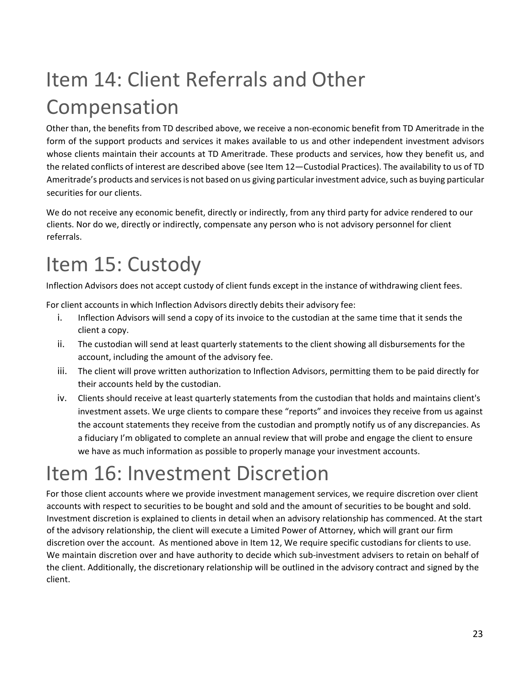# <span id="page-22-0"></span>Item 14: Client Referrals and Other Compensation

Other than, the benefits from TD described above, we receive a non-economic benefit from TD Ameritrade in the form of the support products and services it makes available to us and other independent investment advisors whose clients maintain their accounts at TD Ameritrade. These products and services, how they benefit us, and the related conflicts of interest are described above (see Item 12—Custodial Practices). The availability to us of TD Ameritrade's products and services is not based on us giving particular investment advice, such as buying particular securities for our clients.

We do not receive any economic benefit, directly or indirectly, from any third party for advice rendered to our clients. Nor do we, directly or indirectly, compensate any person who is not advisory personnel for client referrals.

## <span id="page-22-1"></span>Item 15: Custody

Inflection Advisors does not accept custody of client funds except in the instance of withdrawing client fees.

For client accounts in which Inflection Advisors directly debits their advisory fee:

- i. Inflection Advisors will send a copy of its invoice to the custodian at the same time that it sends the client a copy.
- ii. The custodian will send at least quarterly statements to the client showing all disbursements for the account, including the amount of the advisory fee.
- iii. The client will prove written authorization to Inflection Advisors, permitting them to be paid directly for their accounts held by the custodian.
- iv. Clients should receive at least quarterly statements from the custodian that holds and maintains client's investment assets. We urge clients to compare these "reports" and invoices they receive from us against the account statements they receive from the custodian and promptly notify us of any discrepancies. As a fiduciary I'm obligated to complete an annual review that will probe and engage the client to ensure we have as much information as possible to properly manage your investment accounts.

## <span id="page-22-2"></span>Item 16: Investment Discretion

For those client accounts where we provide investment management services, we require discretion over client accounts with respect to securities to be bought and sold and the amount of securities to be bought and sold. Investment discretion is explained to clients in detail when an advisory relationship has commenced. At the start of the advisory relationship, the client will execute a Limited Power of Attorney, which will grant our firm discretion over the account. As mentioned above in Item 12, We require specific custodians for clients to use. We maintain discretion over and have authority to decide which sub-investment advisers to retain on behalf of the client. Additionally, the discretionary relationship will be outlined in the advisory contract and signed by the client.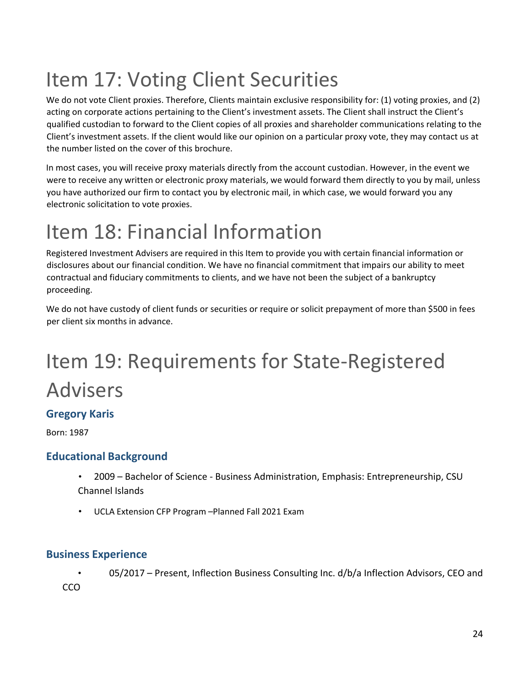# <span id="page-23-0"></span>Item 17: Voting Client Securities

We do not vote Client proxies. Therefore, Clients maintain exclusive responsibility for: (1) voting proxies, and (2) acting on corporate actions pertaining to the Client's investment assets. The Client shall instruct the Client's qualified custodian to forward to the Client copies of all proxies and shareholder communications relating to the Client's investment assets. If the client would like our opinion on a particular proxy vote, they may contact us at the number listed on the cover of this brochure.

In most cases, you will receive proxy materials directly from the account custodian. However, in the event we were to receive any written or electronic proxy materials, we would forward them directly to you by mail, unless you have authorized our firm to contact you by electronic mail, in which case, we would forward you any electronic solicitation to vote proxies.

## <span id="page-23-1"></span>Item 18: Financial Information

Registered Investment Advisers are required in this Item to provide you with certain financial information or disclosures about our financial condition. We have no financial commitment that impairs our ability to meet contractual and fiduciary commitments to clients, and we have not been the subject of a bankruptcy proceeding.

We do not have custody of client funds or securities or require or solicit prepayment of more than \$500 in fees per client six months in advance.

# Item 19: Requirements for State-Registered Advisers

### **Gregory Karis**

Born: 1987

### **Educational Background**

- 2009 Bachelor of Science Business Administration, Emphasis: Entrepreneurship, CSU Channel Islands
- UCLA Extension CFP Program –Planned Fall 2021 Exam

### **Business Experience**

• 05/2017 – Present, Inflection Business Consulting Inc. d/b/a Inflection Advisors, CEO and **CCO**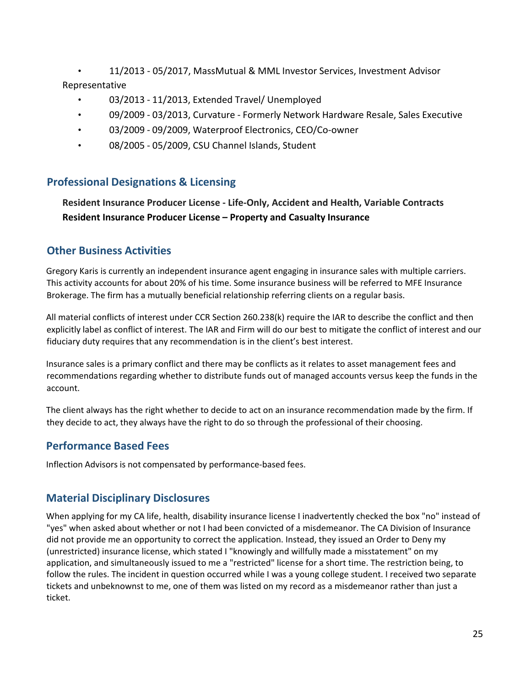• 11/2013 - 05/2017, MassMutual & MML Investor Services, Investment Advisor Representative

- 03/2013 11/2013, Extended Travel/ Unemployed
- 09/2009 03/2013, Curvature Formerly Network Hardware Resale, Sales Executive
- 03/2009 09/2009, Waterproof Electronics, CEO/Co-owner
- 08/2005 05/2009, CSU Channel Islands, Student

### **Professional Designations & Licensing**

**Resident Insurance Producer License - Life-Only, Accident and Health, Variable Contracts Resident Insurance Producer License – Property and Casualty Insurance**

### **Other Business Activities**

Gregory Karis is currently an independent insurance agent engaging in insurance sales with multiple carriers. This activity accounts for about 20% of his time. Some insurance business will be referred to MFE Insurance Brokerage. The firm has a mutually beneficial relationship referring clients on a regular basis.

All material conflicts of interest under CCR Section 260.238(k) require the IAR to describe the conflict and then explicitly label as conflict of interest. The IAR and Firm will do our best to mitigate the conflict of interest and our fiduciary duty requires that any recommendation is in the client's best interest.

Insurance sales is a primary conflict and there may be conflicts as it relates to asset management fees and recommendations regarding whether to distribute funds out of managed accounts versus keep the funds in the account.

The client always has the right whether to decide to act on an insurance recommendation made by the firm. If they decide to act, they always have the right to do so through the professional of their choosing.

### **Performance Based Fees**

Inflection Advisors is not compensated by performance-based fees.

### **Material Disciplinary Disclosures**

When applying for my CA life, health, disability insurance license I inadvertently checked the box "no" instead of "yes" when asked about whether or not I had been convicted of a misdemeanor. The CA Division of Insurance did not provide me an opportunity to correct the application. Instead, they issued an Order to Deny my (unrestricted) insurance license, which stated I "knowingly and willfully made a misstatement" on my application, and simultaneously issued to me a "restricted" license for a short time. The restriction being, to follow the rules. The incident in question occurred while I was a young college student. I received two separate tickets and unbeknownst to me, one of them was listed on my record as a misdemeanor rather than just a ticket.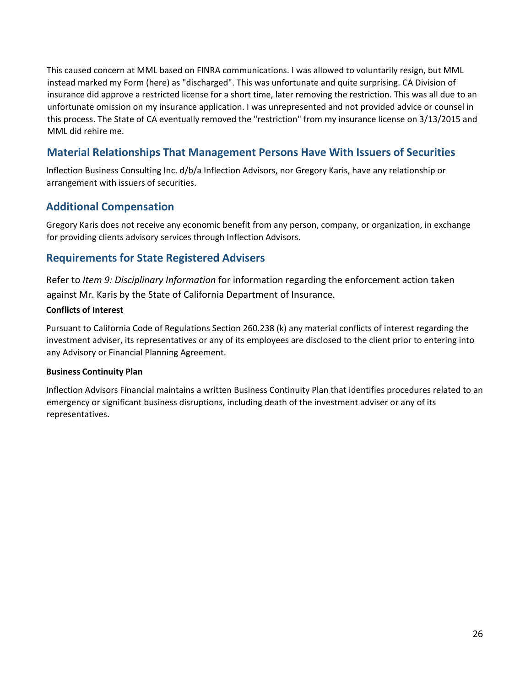This caused concern at MML based on FINRA communications. I was allowed to voluntarily resign, but MML instead marked my Form (here) as "discharged". This was unfortunate and quite surprising. CA Division of insurance did approve a restricted license for a short time, later removing the restriction. This was all due to an unfortunate omission on my insurance application. I was unrepresented and not provided advice or counsel in this process. The State of CA eventually removed the "restriction" from my insurance license on 3/13/2015 and MML did rehire me.

### **Material Relationships That Management Persons Have With Issuers of Securities**

Inflection Business Consulting Inc. d/b/a Inflection Advisors, nor Gregory Karis, have any relationship or arrangement with issuers of securities.

### **Additional Compensation**

Gregory Karis does not receive any economic benefit from any person, company, or organization, in exchange for providing clients advisory services through Inflection Advisors.

### **Requirements for State Registered Advisers**

Refer to *Item 9: Disciplinary Information* for information regarding the enforcement action taken against Mr. Karis by the State of California Department of Insurance.

#### **Conflicts of Interest**

Pursuant to California Code of Regulations Section 260.238 (k) any material conflicts of interest regarding the investment adviser, its representatives or any of its employees are disclosed to the client prior to entering into any Advisory or Financial Planning Agreement.

#### **Business Continuity Plan**

Inflection Advisors Financial maintains a written Business Continuity Plan that identifies procedures related to an emergency or significant business disruptions, including death of the investment adviser or any of its representatives.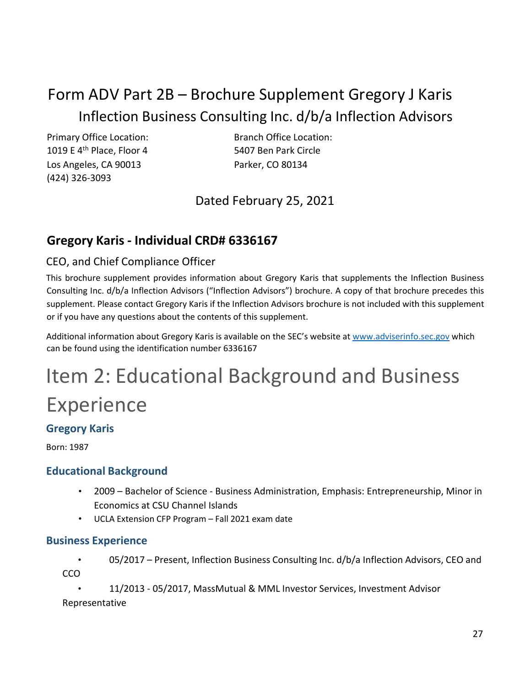### <span id="page-26-0"></span>Form ADV Part 2B – Brochure Supplement Gregory J Karis Inflection Business Consulting Inc. d/b/a Inflection Advisors

Primary Office Location: Branch Office Location: 1019 E 4<sup>th</sup> Place, Floor 4 5407 Ben Park Circle Los Angeles, CA 90013 Parker, CO 80134 (424) 326-3093

Dated February 25, 2021

### **Gregory Karis - Individual CRD# 6336167**

### CEO, and Chief Compliance Officer

This brochure supplement provides information about Gregory Karis that supplements the Inflection Business Consulting Inc. d/b/a Inflection Advisors ("Inflection Advisors") brochure. A copy of that brochure precedes this supplement. Please contact Gregory Karis if the Inflection Advisors brochure is not included with this supplement or if you have any questions about the contents of this supplement.

Additional information about Gregory Karis is available on the SEC's website a[t www.adviserinfo.sec.gov](http://www.adviserinfo.sec.gov/) which can be found using the identification number 6336167

# Item 2: Educational Background and Business Experience

### **Gregory Karis**

Born: 1987

### **Educational Background**

- 2009 Bachelor of Science Business Administration, Emphasis: Entrepreneurship, Minor in Economics at CSU Channel Islands
- UCLA Extension CFP Program Fall 2021 exam date

### **Business Experience**

• 05/2017 – Present, Inflection Business Consulting Inc. d/b/a Inflection Advisors, CEO and CCO

• 11/2013 - 05/2017, MassMutual & MML Investor Services, Investment Advisor Representative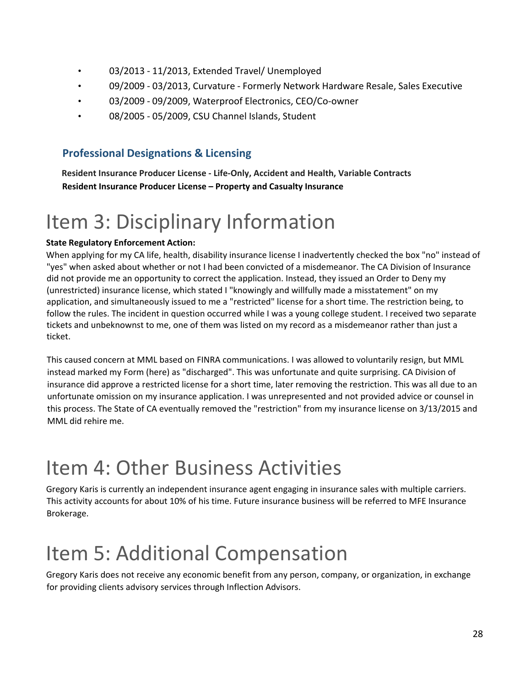- 03/2013 11/2013, Extended Travel/ Unemployed
- 09/2009 03/2013, Curvature Formerly Network Hardware Resale, Sales Executive
- 03/2009 09/2009, Waterproof Electronics, CEO/Co-owner
- 08/2005 05/2009, CSU Channel Islands, Student

### **Professional Designations & Licensing**

**Resident Insurance Producer License - Life-Only, Accident and Health, Variable Contracts Resident Insurance Producer License – Property and Casualty Insurance**

## Item 3: Disciplinary Information

### **State Regulatory Enforcement Action:**

When applying for my CA life, health, disability insurance license I inadvertently checked the box "no" instead of "yes" when asked about whether or not I had been convicted of a misdemeanor. The CA Division of Insurance did not provide me an opportunity to correct the application. Instead, they issued an Order to Deny my (unrestricted) insurance license, which stated I "knowingly and willfully made a misstatement" on my application, and simultaneously issued to me a "restricted" license for a short time. The restriction being, to follow the rules. The incident in question occurred while I was a young college student. I received two separate tickets and unbeknownst to me, one of them was listed on my record as a misdemeanor rather than just a ticket.

This caused concern at MML based on FINRA communications. I was allowed to voluntarily resign, but MML instead marked my Form (here) as "discharged". This was unfortunate and quite surprising. CA Division of insurance did approve a restricted license for a short time, later removing the restriction. This was all due to an unfortunate omission on my insurance application. I was unrepresented and not provided advice or counsel in this process. The State of CA eventually removed the "restriction" from my insurance license on 3/13/2015 and MML did rehire me.

### Item 4: Other Business Activities

Gregory Karis is currently an independent insurance agent engaging in insurance sales with multiple carriers. This activity accounts for about 10% of his time. Future insurance business will be referred to MFE Insurance Brokerage.

## Item 5: Additional Compensation

Gregory Karis does not receive any economic benefit from any person, company, or organization, in exchange for providing clients advisory services through Inflection Advisors.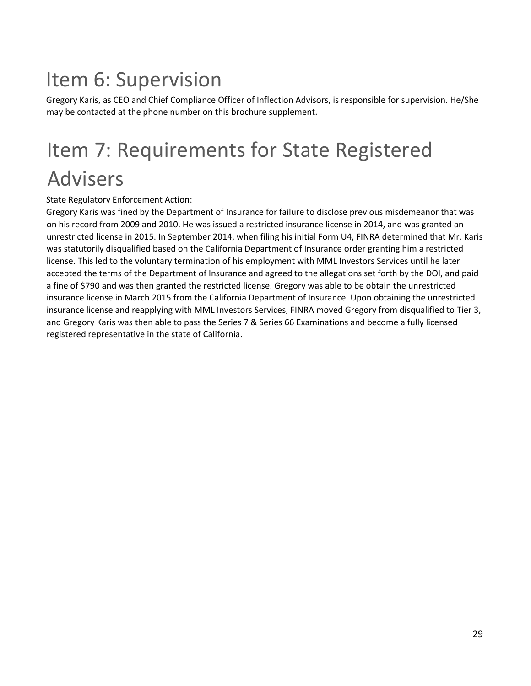## Item 6: Supervision

Gregory Karis, as CEO and Chief Compliance Officer of Inflection Advisors, is responsible for supervision. He/She may be contacted at the phone number on this brochure supplement.

## Item 7: Requirements for State Registered Advisers

State Regulatory Enforcement Action:

Gregory Karis was fined by the Department of Insurance for failure to disclose previous misdemeanor that was on his record from 2009 and 2010. He was issued a restricted insurance license in 2014, and was granted an unrestricted license in 2015. In September 2014, when filing his initial Form U4, FINRA determined that Mr. Karis was statutorily disqualified based on the California Department of Insurance order granting him a restricted license. This led to the voluntary termination of his employment with MML Investors Services until he later accepted the terms of the Department of Insurance and agreed to the allegations set forth by the DOI, and paid a fine of \$790 and was then granted the restricted license. Gregory was able to be obtain the unrestricted insurance license in March 2015 from the California Department of Insurance. Upon obtaining the unrestricted insurance license and reapplying with MML Investors Services, FINRA moved Gregory from disqualified to Tier 3, and Gregory Karis was then able to pass the Series 7 & Series 66 Examinations and become a fully licensed registered representative in the state of California.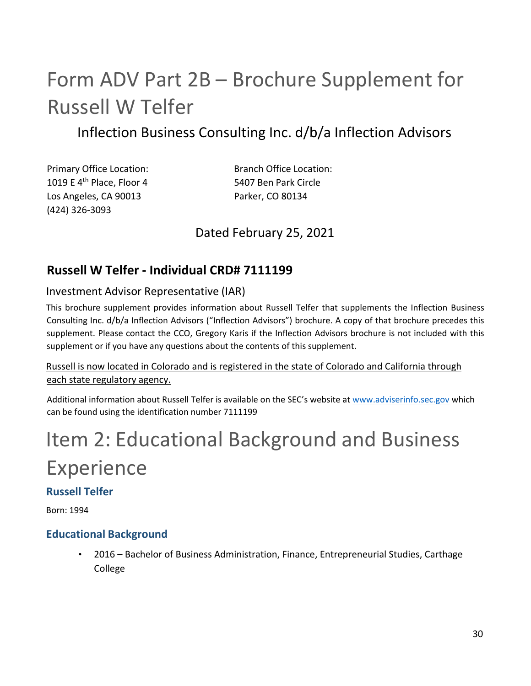## <span id="page-29-0"></span>Form ADV Part 2B – Brochure Supplement for Russell W Telfer

### Inflection Business Consulting Inc. d/b/a Inflection Advisors

1019 E 4<sup>th</sup> Place, Floor 4 5407 Ben Park Circle Los Angeles, CA 90013 Parker, CO 80134 (424) 326-3093

Primary Office Location: Branch Office Location:

### Dated February 25, 2021

### **Russell W Telfer - Individual CRD# 7111199**

### Investment Advisor Representative (IAR)

This brochure supplement provides information about Russell Telfer that supplements the Inflection Business Consulting Inc. d/b/a Inflection Advisors ("Inflection Advisors") brochure. A copy of that brochure precedes this supplement. Please contact the CCO, Gregory Karis if the Inflection Advisors brochure is not included with this supplement or if you have any questions about the contents of this supplement.

### Russell is now located in Colorado and is registered in the state of Colorado and California through each state regulatory agency.

Additional information about Russell Telfer is available on the SEC's website a[t www.adviserinfo.sec.gov](http://www.adviserinfo.sec.gov/) which can be found using the identification number 7111199

# Item 2: Educational Background and Business Experience

### **Russell Telfer**

Born: 1994

### **Educational Background**

• 2016 – Bachelor of Business Administration, Finance, Entrepreneurial Studies, Carthage College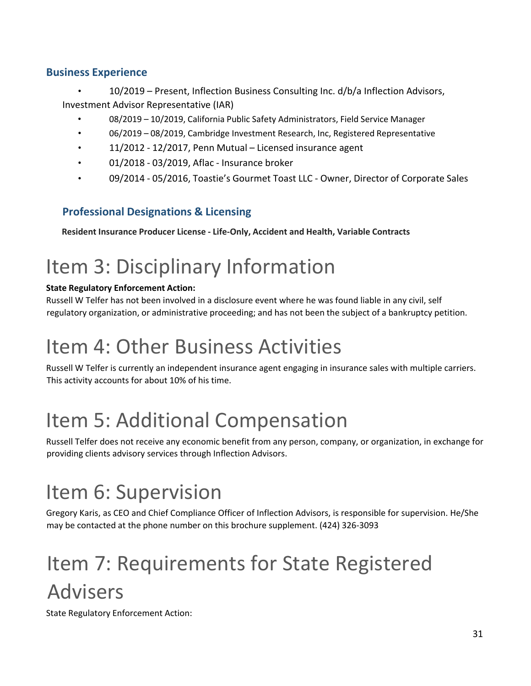### **Business Experience**

- 10/2019 Present, Inflection Business Consulting Inc. d/b/a Inflection Advisors, Investment Advisor Representative (IAR)
	- 08/2019 10/2019, California Public Safety Administrators, Field Service Manager
	- 06/2019 08/2019, Cambridge Investment Research, Inc, Registered Representative
	- 11/2012 12/2017, Penn Mutual Licensed insurance agent
	- 01/2018 03/2019, Aflac Insurance broker
	- 09/2014 05/2016, Toastie's Gourmet Toast LLC Owner, Director of Corporate Sales

### **Professional Designations & Licensing**

**Resident Insurance Producer License - Life-Only, Accident and Health, Variable Contracts**

## Item 3: Disciplinary Information

### **State Regulatory Enforcement Action:**

Russell W Telfer has not been involved in a disclosure event where he was found liable in any civil, self regulatory organization, or administrative proceeding; and has not been the subject of a bankruptcy petition.

## Item 4: Other Business Activities

Russell W Telfer is currently an independent insurance agent engaging in insurance sales with multiple carriers. This activity accounts for about 10% of his time.

## Item 5: Additional Compensation

Russell Telfer does not receive any economic benefit from any person, company, or organization, in exchange for providing clients advisory services through Inflection Advisors.

## Item 6: Supervision

Gregory Karis, as CEO and Chief Compliance Officer of Inflection Advisors, is responsible for supervision. He/She may be contacted at the phone number on this brochure supplement. (424) 326-3093

# Item 7: Requirements for State Registered Advisers

State Regulatory Enforcement Action: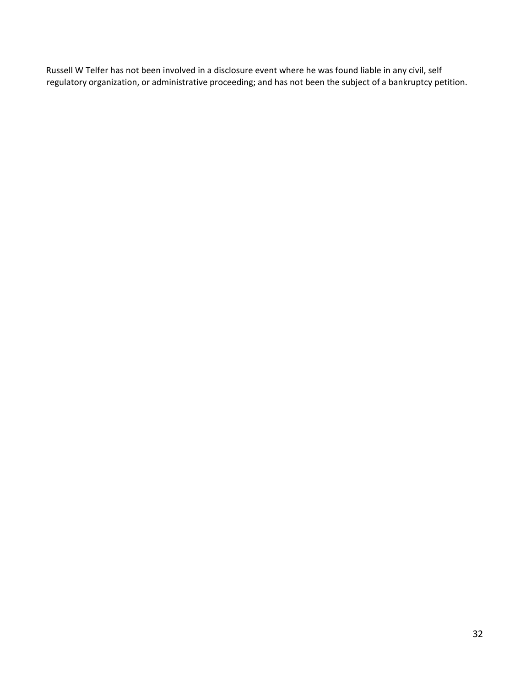Russell W Telfer has not been involved in a disclosure event where he was found liable in any civil, self regulatory organization, or administrative proceeding; and has not been the subject of a bankruptcy petition.